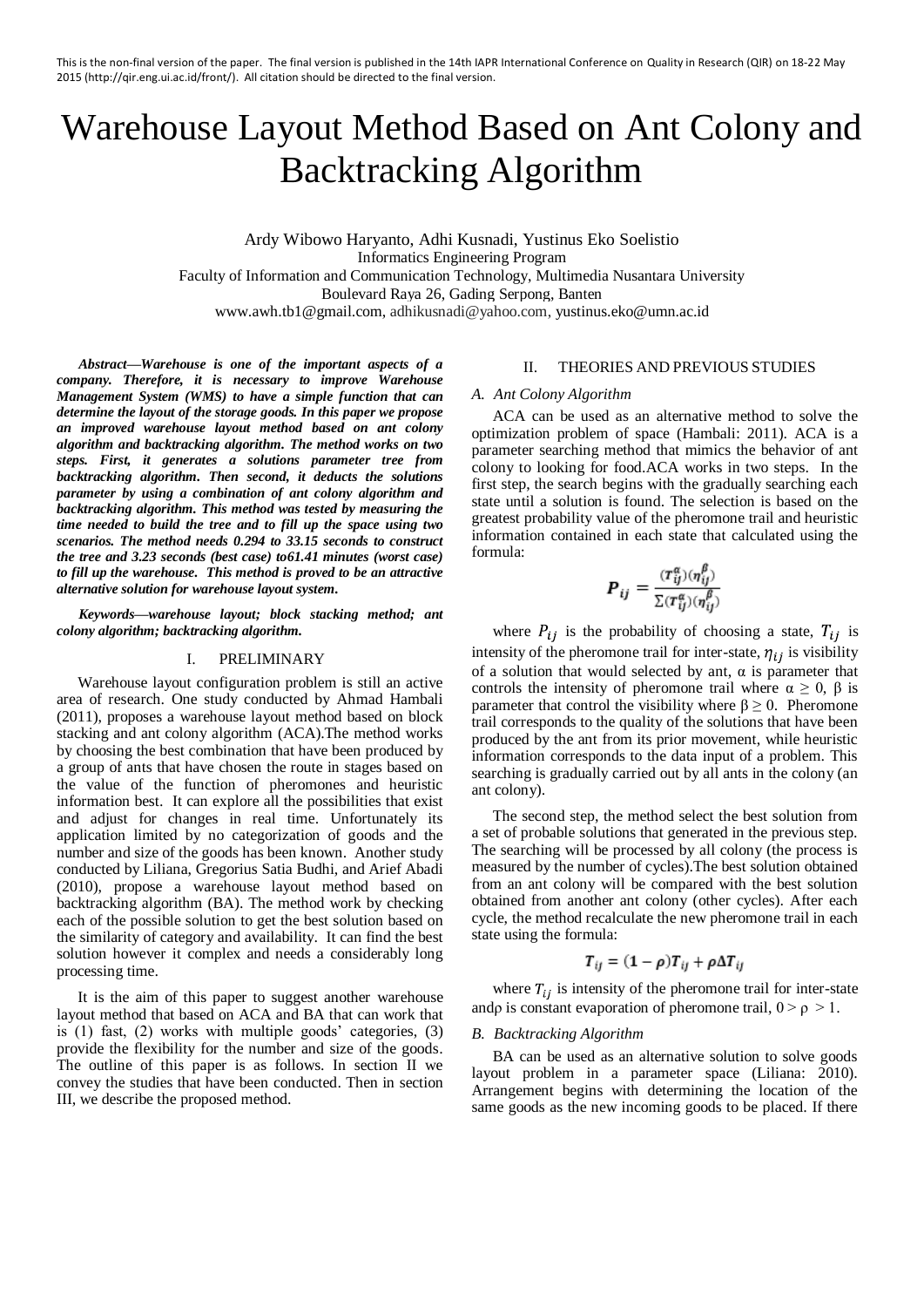# Warehouse Layout Method Based on Ant Colony and Backtracking Algorithm

Ardy Wibowo Haryanto, Adhi Kusnadi, Yustinus Eko Soelistio Informatics Engineering Program Faculty of Information and Communication Technology, Multimedia Nusantara University Boulevard Raya 26, Gading Serpong, Banten [www.awh.tb1@gmail.com,](mailto:kencanawulan2137@yahoo.com) adhikusnadi@yahoo.com, yustinus.eko@umn.ac.id

*Abstract***—***Warehouse is one of the important aspects of a company. Therefore, it is necessary to improve Warehouse Management System (WMS) to have a simple function that can determine the layout of the storage goods. In this paper we propose an improved warehouse layout method based on ant colony algorithm and backtracking algorithm. The method works on two steps. First, it generates a solutions parameter tree from backtracking algorithm. Then second, it deducts the solutions parameter by using a combination of ant colony algorithm and backtracking algorithm. This method was tested by measuring the time needed to build the tree and to fill up the space using two scenarios. The method needs 0.294 to 33.15 seconds to construct the tree and 3.23 seconds (best case) to61.41 minutes (worst case) to fill up the warehouse. This method is proved to be an attractive alternative solution for warehouse layout system.*

*Keywords—warehouse layout; block stacking method; ant colony algorithm; backtracking algorithm.*

# I. PRELIMINARY

Warehouse layout configuration problem is still an active area of research. One study conducted by Ahmad Hambali (2011), proposes a warehouse layout method based on block stacking and ant colony algorithm (ACA).The method works by choosing the best combination that have been produced by a group of ants that have chosen the route in stages based on the value of the function of pheromones and heuristic information best. It can explore all the possibilities that exist and adjust for changes in real time. Unfortunately its application limited by no categorization of goods and the number and size of the goods has been known. Another study conducted by Liliana, Gregorius Satia Budhi, and Arief Abadi (2010), propose a warehouse layout method based on backtracking algorithm (BA). The method work by checking each of the possible solution to get the best solution based on the similarity of category and availability. It can find the best solution however it complex and needs a considerably long processing time.

It is the aim of this paper to suggest another warehouse layout method that based on ACA and BA that can work that is (1) fast, (2) works with multiple goods' categories, (3) provide the flexibility for the number and size of the goods. The outline of this paper is as follows. In section II we convey the studies that have been conducted. Then in section III, we describe the proposed method.

# II. THEORIES AND PREVIOUS STUDIES

### *A. Ant Colony Algorithm*

ACA can be used as an alternative method to solve the optimization problem of space (Hambali: 2011). ACA is a parameter searching method that mimics the behavior of ant colony to looking for food.ACA works in two steps. In the first step, the search begins with the gradually searching each state until a solution is found. The selection is based on the greatest probability value of the pheromone trail and heuristic information contained in each state that calculated using the formula:

$$
\boldsymbol{P}_{ij} = \frac{(\boldsymbol{\tau}_{ij}^{\alpha})(\boldsymbol{\eta}_{ij}^{\beta})}{\sum(\boldsymbol{\tau}_{ij}^{\alpha})(\boldsymbol{\eta}_{ij}^{\beta})}
$$

where  $P_{ij}$  is the probability of choosing a state,  $T_{ij}$  is intensity of the pheromone trail for inter-state,  $\eta_{ij}$  is visibility of a solution that would selected by ant,  $\alpha$  is parameter that controls the intensity of pheromone trail where  $\alpha \geq 0$ ,  $\beta$  is parameter that control the visibility where  $\beta \geq 0$ . Pheromone trail corresponds to the quality of the solutions that have been produced by the ant from its prior movement, while heuristic information corresponds to the data input of a problem. This searching is gradually carried out by all ants in the colony (an ant colony).

The second step, the method select the best solution from a set of probable solutions that generated in the previous step. The searching will be processed by all colony (the process is measured by the number of cycles).The best solution obtained from an ant colony will be compared with the best solution obtained from another ant colony (other cycles). After each cycle, the method recalculate the new pheromone trail in each state using the formula:

$$
T_{ij} = (1 - \rho)T_{ij} + \rho \Delta T_{ij}
$$

where  $T_{ij}$  is intensity of the pheromone trail for inter-state andp is constant evaporation of pheromone trail,  $0 > \rho > 1$ .

## *B. Backtracking Algorithm*

BA can be used as an alternative solution to solve goods layout problem in a parameter space (Liliana: 2010). Arrangement begins with determining the location of the same goods as the new incoming goods to be placed. If there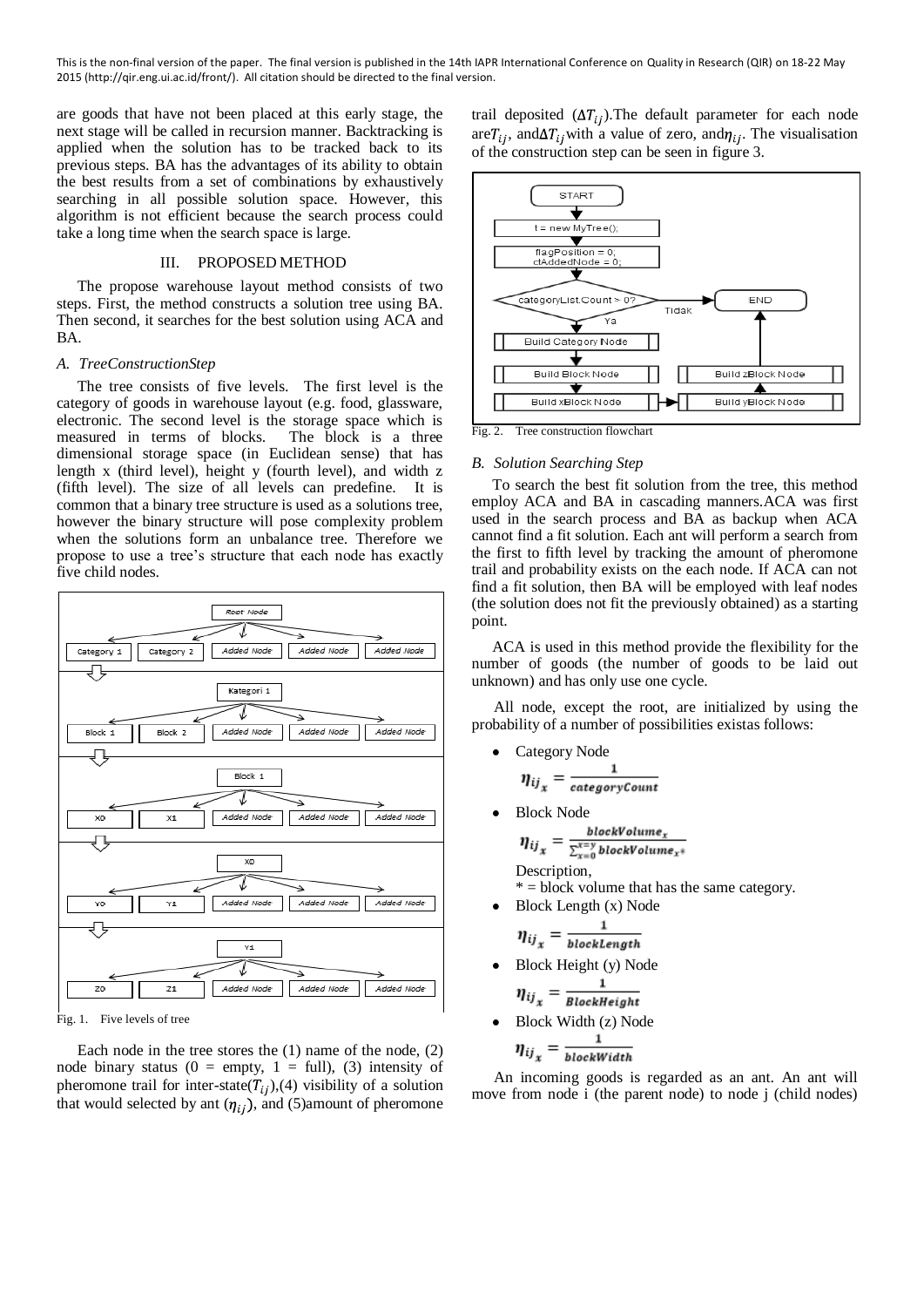are goods that have not been placed at this early stage, the next stage will be called in recursion manner. Backtracking is applied when the solution has to be tracked back to its previous steps. BA has the advantages of its ability to obtain the best results from a set of combinations by exhaustively searching in all possible solution space. However, this algorithm is not efficient because the search process could take a long time when the search space is large.

# III. PROPOSED METHOD

The propose warehouse layout method consists of two steps. First, the method constructs a solution tree using BA. Then second, it searches for the best solution using ACA and BA.

# *A. TreeConstructionStep*

The tree consists of five levels. The first level is the category of goods in warehouse layout (e.g. food, glassware, electronic. The second level is the storage space which is measured in terms of blocks. The block is a three dimensional storage space (in Euclidean sense) that has length x (third level), height y (fourth level), and width z (fifth level). The size of all levels can predefine. It is common that a binary tree structure is used as a solutions tree, however the binary structure will pose complexity problem when the solutions form an unbalance tree. Therefore we propose to use a tree's structure that each node has exactly five child nodes.



Fig. 1. Five levels of tree

Each node in the tree stores the (1) name of the node, (2) node binary status ( $0 =$  empty,  $1 =$  full), (3) intensity of pheromone trail for inter-state( $T_{ij}$ ),(4) visibility of a solution that would selected by ant  $(\eta_{ii})$ , and (5)amount of pheromone

trail deposited  $(\Delta T_{ii})$ . The default parameter for each node  $\arctan T_{ij}$ , and  $\Delta T_{ij}$  with a value of zero, and  $\eta_{ij}$ . The visualisation of the construction step can be seen in figure 3.



# *B. Solution Searching Step*

To search the best fit solution from the tree, this method employ ACA and BA in cascading manners.ACA was first used in the search process and BA as backup when ACA cannot find a fit solution. Each ant will perform a search from the first to fifth level by tracking the amount of pheromone trail and probability exists on the each node. If ACA can not find a fit solution, then BA will be employed with leaf nodes (the solution does not fit the previously obtained) as a starting point.

ACA is used in this method provide the flexibility for the number of goods (the number of goods to be laid out unknown) and has only use one cycle.

All node, except the root, are initialized by using the probability of a number of possibilities existas follows:

Category Node

$$
\eta_{ij_x} = \frac{1}{categoryCount}
$$

Block Node

$$
\eta_{ij_x} = \frac{blockVolume_x}{\sum_{x=0}^{x=y}blockVolume_x*}
$$
  
Description,

 $* = block$  volume that has the same category.

Block Length (x) Node

$$
\eta_{ij_x} = \frac{1}{blockLength}
$$

- Block Height (y) Node  $\mathbf{1}$  $\eta_{ij} = \frac{1}{BlockHeight}$
- Block Width (z) Node

$$
\eta_{ij_x} = \frac{1}{\text{blockWidth}}
$$

An incoming goods is regarded as an ant. An ant will move from node i (the parent node) to node j (child nodes)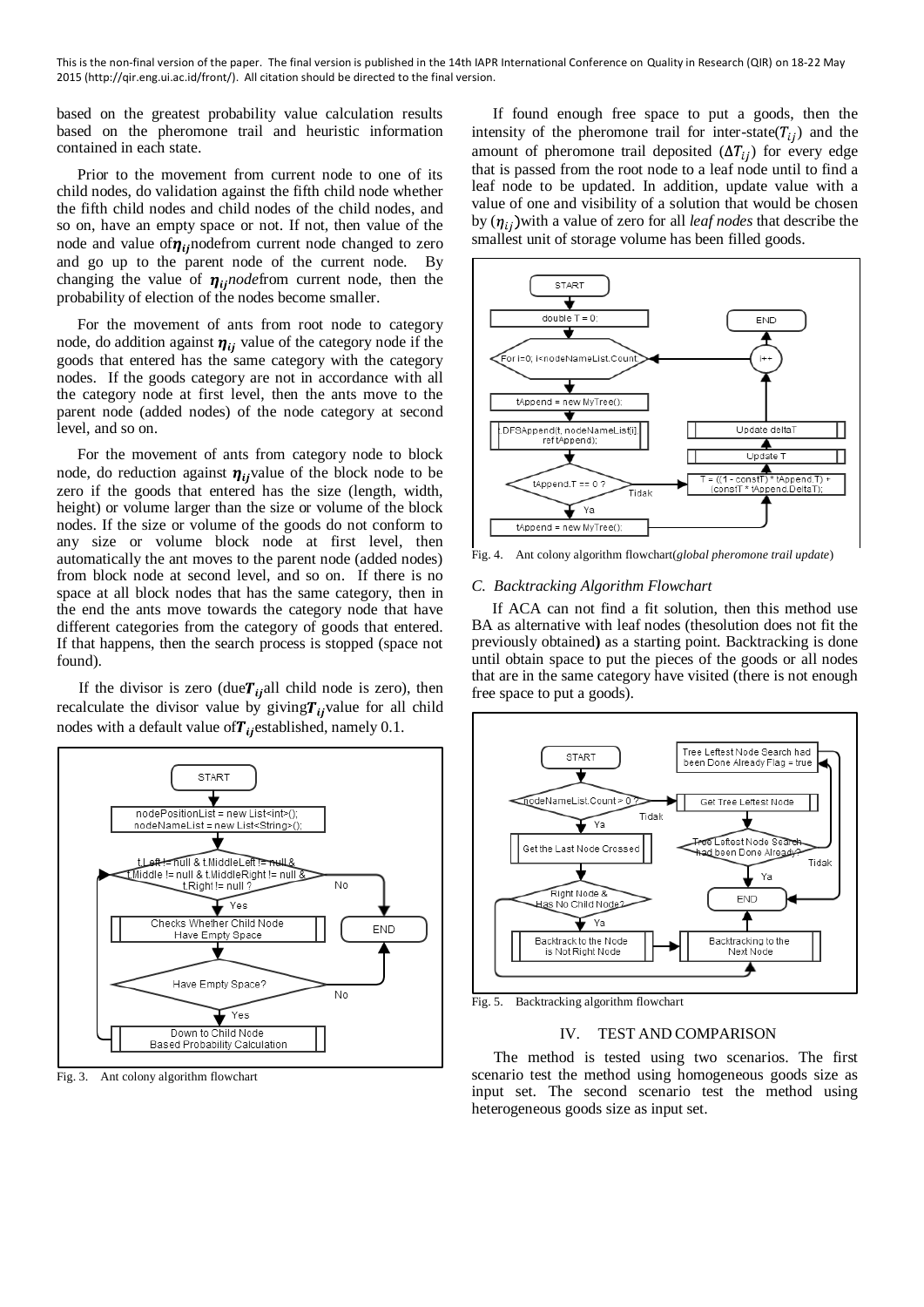based on the greatest probability value calculation results based on the pheromone trail and heuristic information contained in each state.

Prior to the movement from current node to one of its child nodes, do validation against the fifth child node whether the fifth child nodes and child nodes of the child nodes, and so on, have an empty space or not. If not, then value of the node and value of  $\eta_{ii}$ nodefrom current node changed to zero and go up to the parent node of the current node. By changing the value of  $\eta_{ii}$ *node* from current node, then the probability of election of the nodes become smaller.

For the movement of ants from root node to category node, do addition against  $\eta_{ij}$  value of the category node if the goods that entered has the same category with the category nodes. If the goods category are not in accordance with all the category node at first level, then the ants move to the parent node (added nodes) of the node category at second level, and so on.

For the movement of ants from category node to block node, do reduction against  $\eta_{ii}$  value of the block node to be zero if the goods that entered has the size (length, width, height) or volume larger than the size or volume of the block nodes. If the size or volume of the goods do not conform to any size or volume block node at first level, then automatically the ant moves to the parent node (added nodes) from block node at second level, and so on. If there is no space at all block nodes that has the same category, then in the end the ants move towards the category node that have different categories from the category of goods that entered. If that happens, then the search process is stopped (space not found).

If the divisor is zero (due  $T_{ii}$ all child node is zero), then recalculate the divisor value by giving  $T_{ii}$  value for all child nodes with a default value of  $T_i$  established, namely 0.1.



Fig. 3. Ant colony algorithm flowchart

If found enough free space to put a goods, then the intensity of the pheromone trail for inter-state( $T_{ii}$ ) and the amount of pheromone trail deposited  $(\Delta T_{ij})$  for every edge that is passed from the root node to a leaf node until to find a leaf node to be updated. In addition, update value with a value of one and visibility of a solution that would be chosen by  $(\eta_{ii})$  with a value of zero for all *leaf nodes* that describe the smallest unit of storage volume has been filled goods.



Fig. 4. Ant colony algorithm flowchart(*global pheromone trail update*)

### *C. Backtracking Algorithm Flowchart*

If ACA can not find a fit solution, then this method use BA as alternative with leaf nodes (thesolution does not fit the previously obtained**)** as a starting point. Backtracking is done until obtain space to put the pieces of the goods or all nodes that are in the same category have visited (there is not enough free space to put a goods).



Fig. 5. Backtracking algorithm flowchart

### IV. TEST AND COMPARISON

The method is tested using two scenarios. The first scenario test the method using homogeneous goods size as input set. The second scenario test the method using heterogeneous goods size as input set.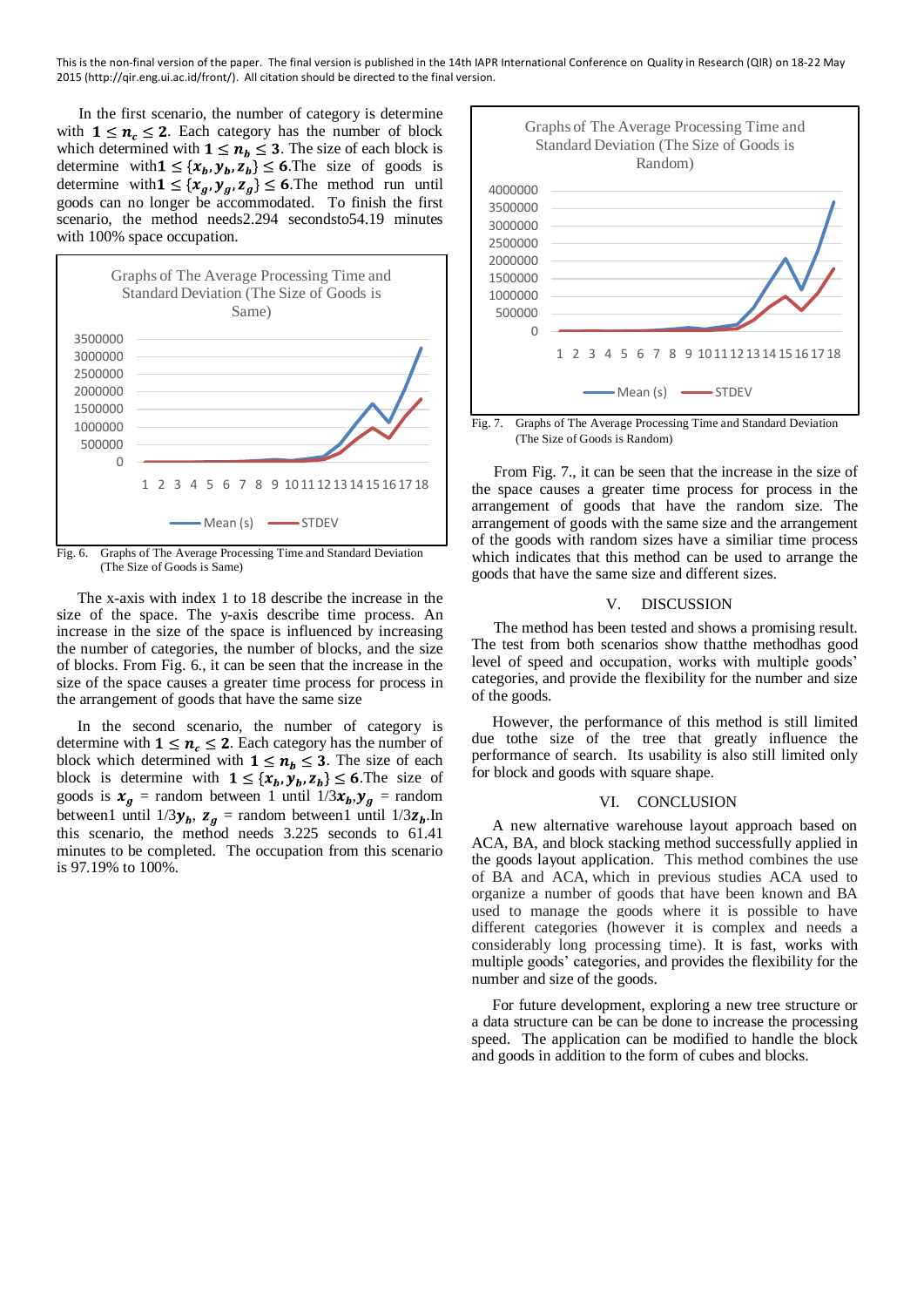In the first scenario, the number of category is determine with  $1 \leq n_c \leq 2$ . Each category has the number of block which determined with  $1 \le n_b \le 3$ . The size of each block is determine with  $1 \leq \{x_b, y_b, z_b\} \leq 6$ . The size of goods is determine with  $1 \leq \{x_g, y_g, z_g\} \leq 6$ . The method run until goods can no longer be accommodated. To finish the first scenario, the method needs2.294 secondsto54.19 minutes with 100% space occupation.



Fig. 6. Graphs of The Average Processing Time and Standard Deviation (The Size of Goods is Same)

The x-axis with index 1 to 18 describe the increase in the size of the space. The y-axis describe time process. An increase in the size of the space is influenced by increasing the number of categories, the number of blocks, and the size of blocks. From Fig. 6., it can be seen that the increase in the size of the space causes a greater time process for process in the arrangement of goods that have the same size

In the second scenario, the number of category is determine with  $1 \leq n_c \leq 2$ . Each category has the number of block which determined with  $1 \le n_h \le 3$ . The size of each block is determine with  $1 \leq \{x_b, y_b, z_b\} \leq 6$ . The size of goods is  $x_g$  = random between 1 until  $1/3x_b$ ,  $y_g$  = random between1 until  $1/3y_b$ ,  $z_g$  = random between1 until  $1/3z_b$ . In this scenario, the method needs 3.225 seconds to 61.41 minutes to be completed. The occupation from this scenario is 97.19% to 100%.



Fig. 7. Graphs of The Average Processing Time and Standard Deviation (The Size of Goods is Random)

From Fig. 7., it can be seen that the increase in the size of the space causes a greater time process for process in the arrangement of goods that have the random size. The arrangement of goods with the same size and the arrangement of the goods with random sizes have a similiar time process which indicates that this method can be used to arrange the goods that have the same size and different sizes.

## V. DISCUSSION

The method has been tested and shows a promising result. The test from both scenarios show thatthe methodhas good level of speed and occupation, works with multiple goods' categories, and provide the flexibility for the number and size of the goods.

However, the performance of this method is still limited due tothe size of the tree that greatly influence the performance of search. Its usability is also still limited only for block and goods with square shape.

## VI. CONCLUSION

A new alternative warehouse layout approach based on ACA, BA, and block stacking method successfully applied in the goods layout application. This method combines the use of BA and ACA, which in previous studies ACA used to organize a number of goods that have been known and BA used to manage the goods where it is possible to have different categories (however it is complex and needs a considerably long processing time). It is fast, works with multiple goods' categories, and provides the flexibility for the number and size of the goods.

For future development, exploring a new tree structure or a data structure can be can be done to increase the processing speed. The application can be modified to handle the block and goods in addition to the form of cubes and blocks.